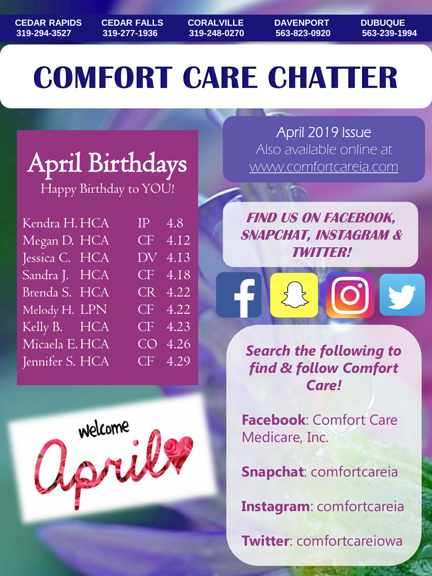**CEDAR RAPIDS CEDAR FALLS CORALVILLE DAVENPORT DUBUQUE 319-294-3527 319-277-1936 319-248-0270 563-823-0920 563-239-1994**

# **COMFORT CARE CHATTER**

## April Birthdays

Happy Birthday to YOU!

| Kendra H. HCA   | $IP \quad 4.8$              |  |
|-----------------|-----------------------------|--|
| Megan D. HCA    | CF 4.12                     |  |
| Jessica C. HCA  | DV 4.13                     |  |
| Sandra J. HCA   | $CF$ 4.18                   |  |
| Brenda S. HCA   | CR 4.22                     |  |
| Melody H. LPN   | CF 4.22                     |  |
| Kelly B. HCA    | CF 4.23                     |  |
| Micaela E.HCA   | CO 4.26                     |  |
| Jennifer S. HCA | $\overline{\text{CF}}$ 4.29 |  |



April 2019 Issue Also available online at www.comfortcareia.com

**FIND US ON FACEBOOK, SNAPCHAT, INSTAGRAM & TWITTER!**

*Search the following to find & follow Comfort Care!*

**Facebook**: Comfort Care Medicare, Inc.

**Snapchat**: comfortcareia

**Instagram**: comfortcareia

**Twitter**: comfortcareiowa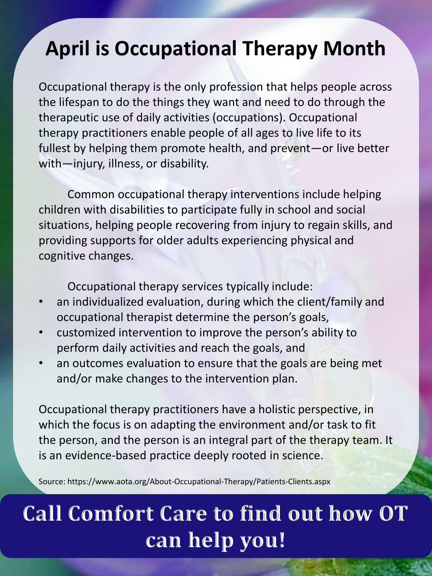### **April is Occupational Therapy Month**

Occupational therapy is the only profession that helps people across the lifespan to do the things they want and need to do through the therapeutic use of daily activities (occupations). Occupational therapy practitioners enable people of all ages to live life to its fullest by helping them promote health, and prevent—or live better with—injury, illness, or disability.

Common occupational therapy interventions include helping children with disabilities to participate fully in school and social situations, helping people recovering from injury to regain skills, and providing supports for older adults experiencing physical and cognitive changes.

Occupational therapy services typically include:

- an individualized evaluation, during which the client/family and occupational therapist determine the person's goals,
- customized intervention to improve the person's ability to perform daily activities and reach the goals, and
- an outcomes evaluation to ensure that the goals are being met and/or make changes to the intervention plan.

Occupational therapy practitioners have a holistic perspective, in which the focus is on adapting the environment and/or task to fit the person, and the person is an integral part of the therapy team. It is an evidence-based practice deeply rooted in science.

Source: https://www.aota.org/About-Occupational-Therapy/Patients-Clients.aspx

### **Call Comfort Care to find out how OT can help you!**